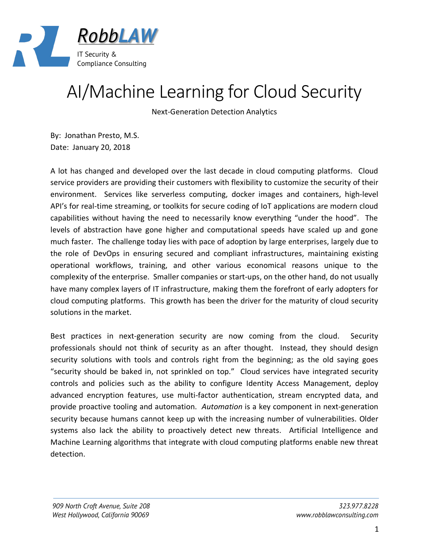

## AI/Machine Learning for Cloud Security

Next-Generation Detection Analytics

By: Jonathan Presto, M.S. Date: January 20, 2018

A lot has changed and developed over the last decade in cloud computing platforms. Cloud service providers are providing their customers with flexibility to customize the security of their environment. Services like serverless computing, docker images and containers, high-level API's for real-time streaming, or toolkits for secure coding of IoT applications are modern cloud capabilities without having the need to necessarily know everything "under the hood". The levels of abstraction have gone higher and computational speeds have scaled up and gone much faster. The challenge today lies with pace of adoption by large enterprises, largely due to the role of DevOps in ensuring secured and compliant infrastructures, maintaining existing operational workflows, training, and other various economical reasons unique to the complexity of the enterprise. Smaller companies or start-ups, on the other hand, do not usually have many complex layers of IT infrastructure, making them the forefront of early adopters for cloud computing platforms. This growth has been the driver for the maturity of cloud security solutions in the market.

Best practices in next-generation security are now coming from the cloud. Security professionals should not think of security as an after thought. Instead, they should design security solutions with tools and controls right from the beginning; as the old saying goes "security should be baked in, not sprinkled on top." Cloud services have integrated security controls and policies such as the ability to configure Identity Access Management, deploy advanced encryption features, use multi-factor authentication, stream encrypted data, and provide proactive tooling and automation. *Automation* is a key component in next-generation security because humans cannot keep up with the increasing number of vulnerabilities. Older systems also lack the ability to proactively detect new threats. Artificial Intelligence and Machine Learning algorithms that integrate with cloud computing platforms enable new threat detection.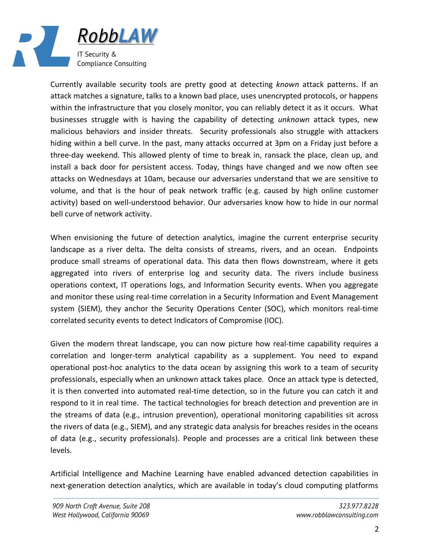

Currently available security tools are pretty good at detecting *known* attack patterns. If an attack matches a signature, talks to a known bad place, uses unencrypted protocols, or happens within the infrastructure that you closely monitor, you can reliably detect it as it occurs. What businesses struggle with is having the capability of detecting *unknown* attack types, new malicious behaviors and insider threats. Security professionals also struggle with attackers hiding within a bell curve. In the past, many attacks occurred at 3pm on a Friday just before a three-day weekend. This allowed plenty of time to break in, ransack the place, clean up, and install a back door for persistent access. Today, things have changed and we now often see attacks on Wednesdays at 10am, because our adversaries understand that we are sensitive to volume, and that is the hour of peak network traffic (e.g. caused by high online customer activity) based on well-understood behavior. Our adversaries know how to hide in our normal bell curve of network activity.

When envisioning the future of detection analytics, imagine the current enterprise security landscape as a river delta. The delta consists of streams, rivers, and an ocean. Endpoints produce small streams of operational data. This data then flows downstream, where it gets aggregated into rivers of enterprise log and security data. The rivers include business operations context, IT operations logs, and Information Security events. When you aggregate and monitor these using real-time correlation in a Security Information and Event Management system (SIEM), they anchor the Security Operations Center (SOC), which monitors real-time correlated security events to detect Indicators of Compromise (IOC).

Given the modern threat landscape, you can now picture how real-time capability requires a correlation and longer-term analytical capability as a supplement. You need to expand operational post-hoc analytics to the data ocean by assigning this work to a team of security professionals, especially when an unknown attack takes place. Once an attack type is detected, it is then converted into automated real-time detection, so in the future you can catch it and respond to it in real time. The tactical technologies for breach detection and prevention are in the streams of data (e.g., intrusion prevention), operational monitoring capabilities sit across the rivers of data (e.g., SIEM), and any strategic data analysis for breaches resides in the oceans of data (e.g., security professionals). People and processes are a critical link between these levels.

Artificial Intelligence and Machine Learning have enabled advanced detection capabilities in next-generation detection analytics, which are available in today's cloud computing platforms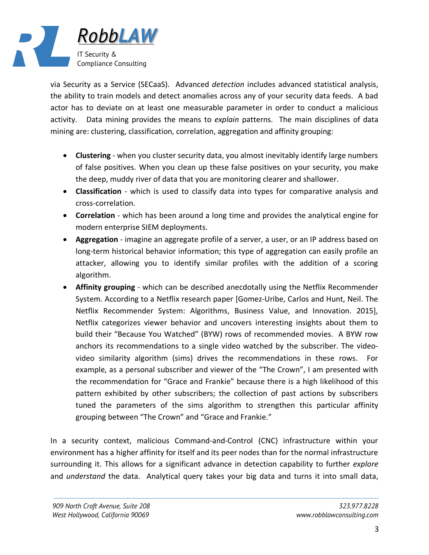

via Security as a Service (SECaaS). Advanced *detection* includes advanced statistical analysis, the ability to train models and detect anomalies across any of your security data feeds. A bad actor has to deviate on at least one measurable parameter in order to conduct a malicious activity. Data mining provides the means to *explain* patterns. The main disciplines of data mining are: clustering, classification, correlation, aggregation and affinity grouping:

- **Clustering** when you cluster security data, you almost inevitably identify large numbers of false positives. When you clean up these false positives on your security, you make the deep, muddy river of data that you are monitoring clearer and shallower.
- **Classification** which is used to classify data into types for comparative analysis and cross-correlation.
- **Correlation** which has been around a long time and provides the analytical engine for modern enterprise SIEM deployments.
- **Aggregation** imagine an aggregate profile of a server, a user, or an IP address based on long-term historical behavior information; this type of aggregation can easily profile an attacker, allowing you to identify similar profiles with the addition of a scoring algorithm.
- **Affinity grouping** which can be described anecdotally using the Netflix Recommender System. According to a Netflix research paper [Gomez-Uribe, Carlos and Hunt, Neil. The Netflix Recommender System: Algorithms, Business Value, and Innovation. 2015], Netflix categorizes viewer behavior and uncovers interesting insights about them to build their "Because You Watched" (BYW) rows of recommended movies. A BYW row anchors its recommendations to a single video watched by the subscriber. The videovideo similarity algorithm (sims) drives the recommendations in these rows. For example, as a personal subscriber and viewer of the "The Crown", I am presented with the recommendation for "Grace and Frankie" because there is a high likelihood of this pattern exhibited by other subscribers; the collection of past actions by subscribers tuned the parameters of the sims algorithm to strengthen this particular affinity grouping between "The Crown" and "Grace and Frankie."

In a security context, malicious Command-and-Control (CNC) infrastructure within your environment has a higher affinity for itself and its peer nodes than for the normal infrastructure surrounding it. This allows for a significant advance in detection capability to further *explore* and *understand* the data. Analytical query takes your big data and turns it into small data,